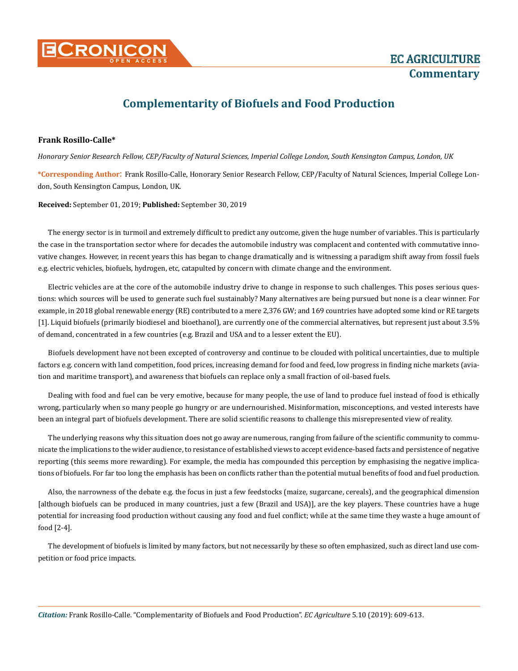

# **Complementarity of Biofuels and Food Production**

## **Frank Rosillo-Calle\***

*Honorary Senior Research Fellow, CEP/Faculty of Natural Sciences, Imperial College London, South Kensington Campus, London, UK* 

**\*Corresponding Author**: Frank Rosillo-Calle, Honorary Senior Research Fellow, CEP/Faculty of Natural Sciences, Imperial College London, South Kensington Campus, London, UK.

**Received:** September 01, 2019; **Published:** September 30, 2019

The energy sector is in turmoil and extremely difficult to predict any outcome, given the huge number of variables. This is particularly the case in the transportation sector where for decades the automobile industry was complacent and contented with commutative innovative changes. However, in recent years this has began to change dramatically and is witnessing a paradigm shift away from fossil fuels e.g. electric vehicles, biofuels, hydrogen, etc, catapulted by concern with climate change and the environment.

Electric vehicles are at the core of the automobile industry drive to change in response to such challenges. This poses serious questions: which sources will be used to generate such fuel sustainably? Many alternatives are being pursued but none is a clear winner. For example, in 2018 global renewable energy (RE) contributed to a mere 2,376 GW; and 169 countries have adopted some kind or RE targets [1]. Liquid biofuels (primarily biodiesel and bioethanol), are currently one of the commercial alternatives, but represent just about 3.5% of demand, concentrated in a few countries (e.g. Brazil and USA and to a lesser extent the EU).

Biofuels development have not been excepted of controversy and continue to be clouded with political uncertainties, due to multiple factors e.g. concern with land competition, food prices, increasing demand for food and feed, low progress in finding niche markets (aviation and maritime transport), and awareness that biofuels can replace only a small fraction of oil-based fuels.

Dealing with food and fuel can be very emotive, because for many people, the use of land to produce fuel instead of food is ethically wrong, particularly when so many people go hungry or are undernourished. Misinformation, misconceptions, and vested interests have been an integral part of biofuels development. There are solid scientific reasons to challenge this misrepresented view of reality.

The underlying reasons why this situation does not go away are numerous, ranging from failure of the scientific community to communicate the implications to the wider audience, to resistance of established views to accept evidence-based facts and persistence of negative reporting (this seems more rewarding). For example, the media has compounded this perception by emphasising the negative implications of biofuels. For far too long the emphasis has been on conflicts rather than the potential mutual benefits of food and fuel production.

Also, the narrowness of the debate e.g. the focus in just a few feedstocks (maize, sugarcane, cereals), and the geographical dimension [although biofuels can be produced in many countries, just a few (Brazil and USA)], are the key players. These countries have a huge potential for increasing food production without causing any food and fuel conflict; while at the same time they waste a huge amount of food [2-4].

The development of biofuels is limited by many factors, but not necessarily by these so often emphasized, such as direct land use competition or food price impacts.

*Citation:* Frank Rosillo-Calle. "Complementarity of Biofuels and Food Production". *EC Agriculture* 5.10 (2019): 609-613.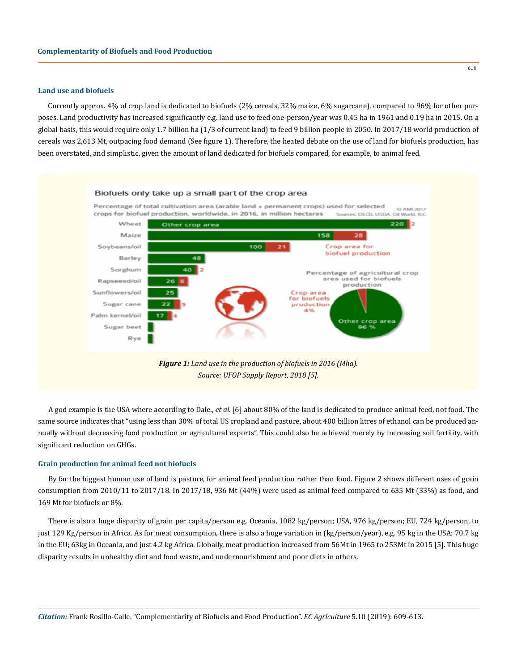### **Land use and biofuels**

Currently approx. 4% of crop land is dedicated to biofuels (2% cereals, 32% maize, 6% sugarcane), compared to 96% for other purposes. Land productivity has increased significantly e.g. land use to feed one-person/year was 0.45 ha in 1961 and 0.19 ha in 2015. On a global basis, this would require only 1.7 billion ha (1/3 of current land) to feed 9 billion people in 2050. In 2017/18 world production of cereals was 2,613 Mt, outpacing food demand (See figure 1). Therefore, the heated debate on the use of land for biofuels production, has been overstated, and simplistic, given the amount of land dedicated for biofuels compared, for example, to animal feed.



*Source: UFOP Supply Report, 2018 [5].*

A god example is the USA where according to Dale., *et al*. [6] about 80% of the land is dedicated to produce animal feed, not food. The same source indicates that "using less than 30% of total US cropland and pasture, about 400 billion litres of ethanol can be produced annually without decreasing food production or agricultural exports". This could also be achieved merely by increasing soil fertility, with significant reduction on GHGs.

## **Grain production for animal feed not biofuels**

By far the biggest human use of land is pasture, for animal feed production rather than food. Figure 2 shows different uses of grain consumption from 2010/11 to 2017/18. In 2017/18, 936 Mt (44%) were used as animal feed compared to 635 Mt (33%) as food, and 169 Mt for biofuels or 8%.

There is also a huge disparity of grain per capita/person e.g. Oceania, 1082 kg/person; USA, 976 kg/person; EU, 724 kg/person, to just 129 Kg/person in Africa. As for meat consumption, there is also a huge variation in (kg/person/year), e.g. 95 kg in the USA; 70.7 kg in the EU; 63kg in Oceania, and just 4.2 kg Africa. Globally, meat production increased from 56Mt in 1965 to 253Mt in 2015 [5]. This huge disparity results in unhealthy diet and food waste, and undernourishment and poor diets in others.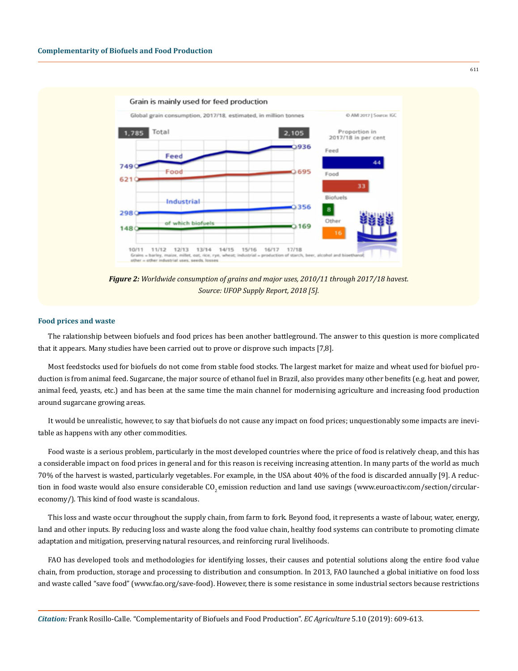

*Figure 2: Worldwide consumption of grains and major uses, 2010/11 through 2017/18 havest. Source: UFOP Supply Report, 2018 [5].*

#### **Food prices and waste**

The ralationship between biofuels and food prices has been another battleground. The answer to this question is more complicated that it appears. Many studies have been carried out to prove or disprove such impacts [7,8].

Most feedstocks used for biofuels do not come from stable food stocks. The largest market for maize and wheat used for biofuel production is from animal feed. Sugarcane, the major source of ethanol fuel in Brazil, also provides many other benefits (e.g. heat and power, animal feed, yeasts, etc.) and has been at the same time the main channel for modernising agriculture and increasing food production around sugarcane growing areas.

It would be unrealistic, however, to say that biofuels do not cause any impact on food prices; unquestionably some impacts are inevitable as happens with any other commodities.

Food waste is a serious problem, particularly in the most developed countries where the price of food is relatively cheap, and this has a considerable impact on food prices in general and for this reason is receiving increasing attention. In many parts of the world as much 70% of the harvest is wasted, particularly vegetables. For example, in the USA about 40% of the food is discarded annually [9]. A reduction in food waste would also ensure considerable  $CO<sub>2</sub>$  emission reduction and land use savings ([www.euroactiv.com/section/circular](http://www.euroactiv.com/section/circular-economy/)[economy/](http://www.euroactiv.com/section/circular-economy/)). This kind of food waste is scandalous.

This loss and waste occur throughout the supply chain, from farm to fork. Beyond food, it represents a waste of labour, water, energy, land and other inputs. By reducing loss and waste along the food value chain, healthy food systems can contribute to promoting climate adaptation and mitigation, preserving natural resources, and reinforcing rural livelihoods.

FAO has developed tools and methodologies for identifying losses, their causes and potential solutions along the entire food value chain, from production, storage and processing to distribution and consumption. In 2013, FAO launched a global initiative on food loss and waste called "save food" ([www.fao.org/save-food\)](http://www.fao.org/save-food). However, there is some resistance in some industrial sectors because restrictions

611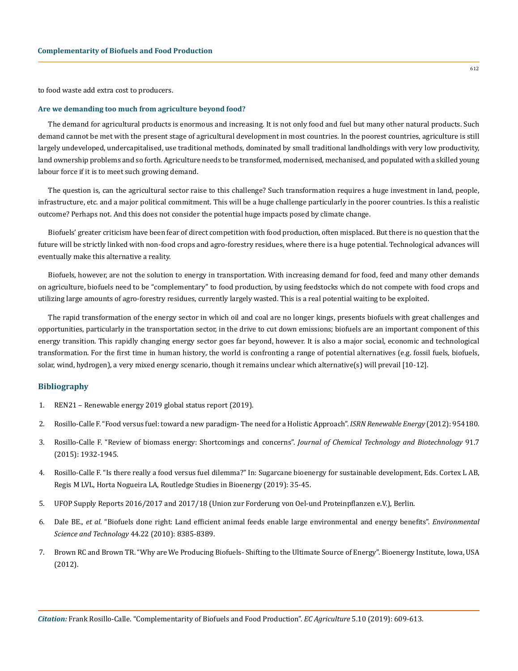to food waste add extra cost to producers.

#### **Are we demanding too much from agriculture beyond food?**

The demand for agricultural products is enormous and increasing. It is not only food and fuel but many other natural products. Such demand cannot be met with the present stage of agricultural development in most countries. In the poorest countries, agriculture is still largely undeveloped, undercapitalised, use traditional methods, dominated by small traditional landholdings with very low productivity, land ownership problems and so forth. Agriculture needs to be transformed, modernised, mechanised, and populated with a skilled young labour force if it is to meet such growing demand.

The question is, can the agricultural sector raise to this challenge? Such transformation requires a huge investment in land, people, infrastructure, etc. and a major political commitment. This will be a huge challenge particularly in the poorer countries. Is this a realistic outcome? Perhaps not. And this does not consider the potential huge impacts posed by climate change.

Biofuels' greater criticism have been fear of direct competition with food production, often misplaced. But there is no question that the future will be strictly linked with non-food crops and agro-forestry residues, where there is a huge potential. Technological advances will eventually make this alternative a reality.

Biofuels, however, are not the solution to energy in transportation. With increasing demand for food, feed and many other demands on agriculture, biofuels need to be "complementary" to food production, by using feedstocks which do not compete with food crops and utilizing large amounts of agro-forestry residues, currently largely wasted. This is a real potential waiting to be exploited.

The rapid transformation of the energy sector in which oil and coal are no longer kings, presents biofuels with great challenges and opportunities, particularly in the transportation sector, in the drive to cut down emissions; biofuels are an important component of this energy transition. This rapidly changing energy sector goes far beyond, however. It is also a major social, economic and technological transformation. For the first time in human history, the world is confronting a range of potential alternatives (e.g. fossil fuels, biofuels, solar, wind, hydrogen), a very mixed energy scenario, though it remains unclear which alternative(s) will prevail [10-12].

## **Bibliography**

- 1. [REN21 Renewable energy 2019 global status report \(2019\).](https://www.ren21.net/wp-content/uploads/2019/05/gsr_2019_full_report_en.pdf)
- 2. [Rosillo-Calle F. "Food versus fuel: toward a new paradigm- The need for a Holistic Approach".](https://www.hindawi.com/journals/isrn/2012/954180/) *ISRN Renewable Energy* (2012): 954180.
- 3. [Rosillo-Calle F. "Review of biomass energy: Shortcomings and concerns".](https://onlinelibrary.wiley.com/doi/abs/10.1002/jctb.4918) *Journal of Chemical Technology and Biotechnology* 91.7 [\(2015\): 1932-1945.](https://onlinelibrary.wiley.com/doi/abs/10.1002/jctb.4918)
- 4. Rosillo-Calle F. "Is there really a food versus fuel dilemma?" In: Sugarcane bioenergy for sustainable development, Eds. Cortex L AB, Regis M LVL, Horta Nogueira LA, Routledge Studies in Bioenergy (2019): 35-45.
- 5. [UFOP Supply Reports 2016/2017 and 2017/18 \(Union zur Forderung von Oel-und Proteinpflanzen e.V.\), Berlin.](https://www.ufop.de/files/3515/1515/2657/UFOP_Report_on_Global_Market_Supply_2017-2018.pdf)
- 6. Dale BE., *et al*[. "Biofuels done right: Land efficient animal feeds enable large environmental and energy benefits".](https://pubs.acs.org/doi/abs/10.1021/es101864b) *Environmental [Science and Technology](https://pubs.acs.org/doi/abs/10.1021/es101864b)* 44.22 (2010): 8385-8389.
- 7. Brown RC and Brown TR. "Why are We Producing Biofuels- Shifting to the Ultimate Source of Energy". Bioenergy Institute, Iowa, USA (2012).